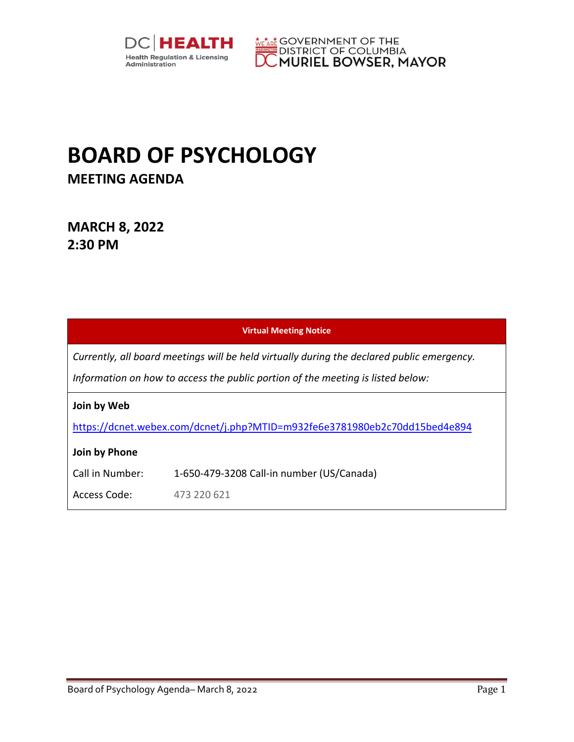



## **BOARD OF PSYCHOLOGY**

**MEETING AGENDA**

**MARCH 8, 2022 2:30 PM** 

|                                                                                                                                                                               | <b>Virtual Meeting Notice</b>                                              |  |  |
|-------------------------------------------------------------------------------------------------------------------------------------------------------------------------------|----------------------------------------------------------------------------|--|--|
| Currently, all board meetings will be held virtually during the declared public emergency.<br>Information on how to access the public portion of the meeting is listed below: |                                                                            |  |  |
| Join by Web                                                                                                                                                                   |                                                                            |  |  |
| Join by Phone                                                                                                                                                                 | https://dcnet.webex.com/dcnet/j.php?MTID=m932fe6e3781980eb2c70dd15bed4e894 |  |  |
| Call in Number:                                                                                                                                                               | 1-650-479-3208 Call-in number (US/Canada)                                  |  |  |
| Access Code:                                                                                                                                                                  | 473 220 621                                                                |  |  |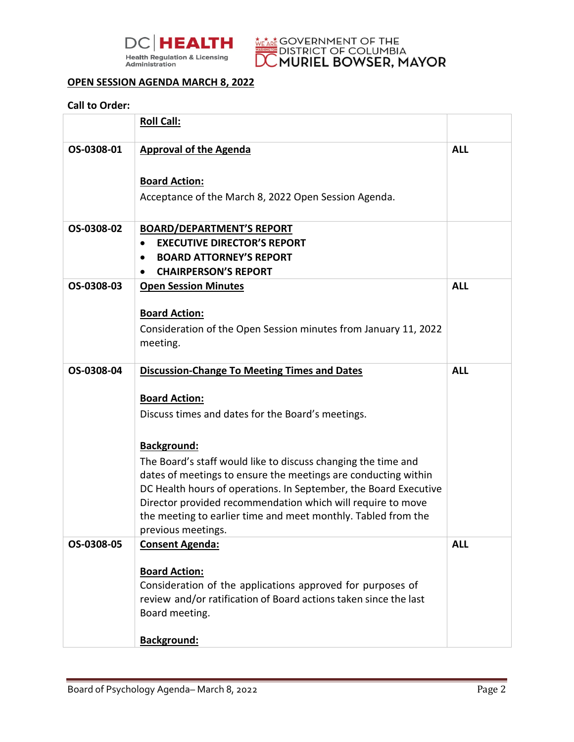



## **OPEN SESSION AGENDA MARCH 8, 2022**

## **Call to Order:**

|                          | <b>Roll Call:</b>                                                                                                                                                                                                                                                                                                                                                                                                                             |                          |
|--------------------------|-----------------------------------------------------------------------------------------------------------------------------------------------------------------------------------------------------------------------------------------------------------------------------------------------------------------------------------------------------------------------------------------------------------------------------------------------|--------------------------|
| OS-0308-01               | <b>Approval of the Agenda</b>                                                                                                                                                                                                                                                                                                                                                                                                                 | <b>ALL</b>               |
|                          |                                                                                                                                                                                                                                                                                                                                                                                                                                               |                          |
|                          | <b>Board Action:</b>                                                                                                                                                                                                                                                                                                                                                                                                                          |                          |
|                          | Acceptance of the March 8, 2022 Open Session Agenda.                                                                                                                                                                                                                                                                                                                                                                                          |                          |
| OS-0308-02               | <b>BOARD/DEPARTMENT'S REPORT</b>                                                                                                                                                                                                                                                                                                                                                                                                              |                          |
|                          | <b>EXECUTIVE DIRECTOR'S REPORT</b><br>$\bullet$                                                                                                                                                                                                                                                                                                                                                                                               |                          |
|                          | <b>BOARD ATTORNEY'S REPORT</b><br>$\bullet$                                                                                                                                                                                                                                                                                                                                                                                                   |                          |
|                          | <b>CHAIRPERSON'S REPORT</b>                                                                                                                                                                                                                                                                                                                                                                                                                   |                          |
| OS-0308-03               | <b>Open Session Minutes</b>                                                                                                                                                                                                                                                                                                                                                                                                                   | <b>ALL</b>               |
|                          |                                                                                                                                                                                                                                                                                                                                                                                                                                               |                          |
|                          | Consideration of the Open Session minutes from January 11, 2022                                                                                                                                                                                                                                                                                                                                                                               |                          |
|                          | meeting.                                                                                                                                                                                                                                                                                                                                                                                                                                      |                          |
|                          |                                                                                                                                                                                                                                                                                                                                                                                                                                               |                          |
|                          |                                                                                                                                                                                                                                                                                                                                                                                                                                               |                          |
|                          |                                                                                                                                                                                                                                                                                                                                                                                                                                               |                          |
|                          |                                                                                                                                                                                                                                                                                                                                                                                                                                               |                          |
|                          |                                                                                                                                                                                                                                                                                                                                                                                                                                               |                          |
|                          | Background:                                                                                                                                                                                                                                                                                                                                                                                                                                   |                          |
|                          | The Board's staff would like to discuss changing the time and                                                                                                                                                                                                                                                                                                                                                                                 |                          |
|                          | dates of meetings to ensure the meetings are conducting within                                                                                                                                                                                                                                                                                                                                                                                |                          |
|                          |                                                                                                                                                                                                                                                                                                                                                                                                                                               |                          |
|                          |                                                                                                                                                                                                                                                                                                                                                                                                                                               |                          |
|                          |                                                                                                                                                                                                                                                                                                                                                                                                                                               |                          |
|                          |                                                                                                                                                                                                                                                                                                                                                                                                                                               |                          |
|                          |                                                                                                                                                                                                                                                                                                                                                                                                                                               |                          |
|                          | <b>Board Action:</b>                                                                                                                                                                                                                                                                                                                                                                                                                          |                          |
|                          | Consideration of the applications approved for purposes of                                                                                                                                                                                                                                                                                                                                                                                    |                          |
|                          | review and/or ratification of Board actions taken since the last                                                                                                                                                                                                                                                                                                                                                                              |                          |
|                          |                                                                                                                                                                                                                                                                                                                                                                                                                                               |                          |
|                          |                                                                                                                                                                                                                                                                                                                                                                                                                                               |                          |
| OS-0308-04<br>OS-0308-05 | <b>Board Action:</b><br><b>Discussion-Change To Meeting Times and Dates</b><br><b>Board Action:</b><br>Discuss times and dates for the Board's meetings.<br>DC Health hours of operations. In September, the Board Executive<br>Director provided recommendation which will require to move<br>the meeting to earlier time and meet monthly. Tabled from the<br>previous meetings.<br><b>Consent Agenda:</b><br>Board meeting.<br>Background: | <b>ALL</b><br><b>ALL</b> |